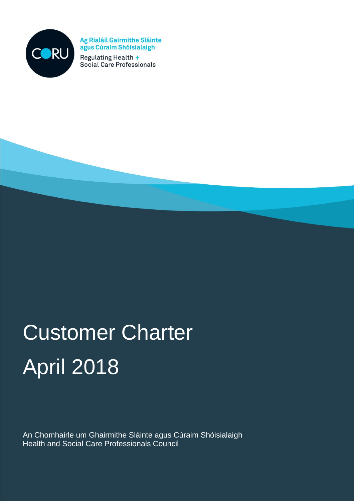

Ag Rialáil Gairmithe Sláinte agus Cúraim Shóisialaigh

Regulating Health + Social Care Professionals

# Customer Charter April 2018

An Chomhairle um Ghairmithe Sláinte agus Cúraim Shóisialaigh Health and Social Care Professionals Council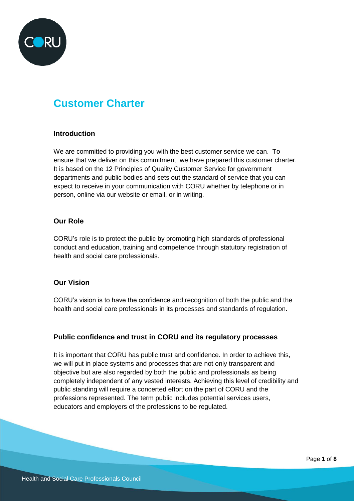

# **Customer Charter**

#### **Introduction**

We are committed to providing you with the best customer service we can. To ensure that we deliver on this commitment, we have prepared this customer charter. It is based on the 12 Principles of Quality Customer Service for government departments and public bodies and sets out the standard of service that you can expect to receive in your communication with CORU whether by telephone or in person, online via our website or email, or in writing.

#### **Our Role**

CORU's role is to protect the public by promoting high standards of professional conduct and education, training and competence through statutory registration of health and social care professionals.

#### **Our Vision**

CORU's vision is to have the confidence and recognition of both the public and the health and social care professionals in its processes and standards of regulation.

# **Public confidence and trust in CORU and its regulatory processes**

It is important that CORU has public trust and confidence. In order to achieve this, we will put in place systems and processes that are not only transparent and objective but are also regarded by both the public and professionals as being completely independent of any vested interests. Achieving this level of credibility and public standing will require a concerted effort on the part of CORU and the professions represented. The term public includes potential services users, educators and employers of the professions to be regulated.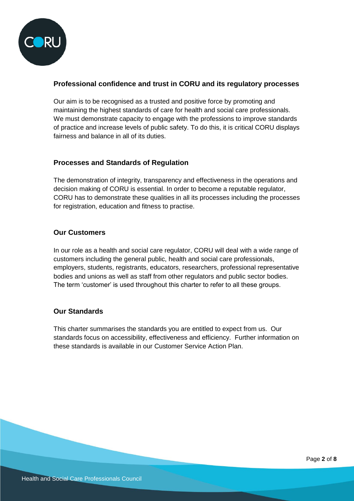

# **Professional confidence and trust in CORU and its regulatory processes**

Our aim is to be recognised as a trusted and positive force by promoting and maintaining the highest standards of care for health and social care professionals. We must demonstrate capacity to engage with the professions to improve standards of practice and increase levels of public safety. To do this, it is critical CORU displays fairness and balance in all of its duties.

# **Processes and Standards of Regulation**

The demonstration of integrity, transparency and effectiveness in the operations and decision making of CORU is essential. In order to become a reputable regulator, CORU has to demonstrate these qualities in all its processes including the processes for registration, education and fitness to practise.

#### **Our Customers**

In our role as a health and social care regulator, CORU will deal with a wide range of customers including the general public, health and social care professionals, employers, students, registrants, educators, researchers, professional representative bodies and unions as well as staff from other regulators and public sector bodies. The term 'customer' is used throughout this charter to refer to all these groups.

# **Our Standards**

This charter summarises the standards you are entitled to expect from us. Our standards focus on accessibility, effectiveness and efficiency. Further information on these standards is available in our Customer Service Action Plan.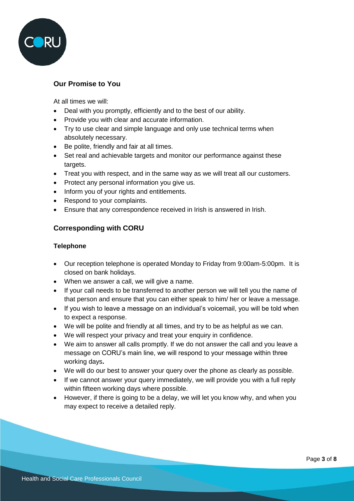

# **Our Promise to You**

At all times we will:

- Deal with you promptly, efficiently and to the best of our ability.
- Provide you with clear and accurate information.
- Try to use clear and simple language and only use technical terms when absolutely necessary.
- Be polite, friendly and fair at all times.
- Set real and achievable targets and monitor our performance against these targets.
- Treat you with respect, and in the same way as we will treat all our customers.
- Protect any personal information you give us.
- Inform you of your rights and entitlements.
- Respond to your complaints.
- Ensure that any correspondence received in Irish is answered in Irish.

# **Corresponding with CORU**

#### **Telephone**

- Our reception telephone is operated Monday to Friday from 9:00am-5:00pm. It is closed on bank holidays.
- When we answer a call, we will give a name.
- If your call needs to be transferred to another person we will tell you the name of that person and ensure that you can either speak to him/ her or leave a message.
- If you wish to leave a message on an individual's voicemail, you will be told when to expect a response.
- We will be polite and friendly at all times, and try to be as helpful as we can.
- We will respect your privacy and treat your enquiry in confidence.
- We aim to answer all calls promptly. If we do not answer the call and you leave a message on CORU's main line, we will respond to your message within three working days**.**
- We will do our best to answer your query over the phone as clearly as possible.
- If we cannot answer your query immediately, we will provide you with a full reply within fifteen working days where possible.
- However, if there is going to be a delay, we will let you know why, and when you may expect to receive a detailed reply.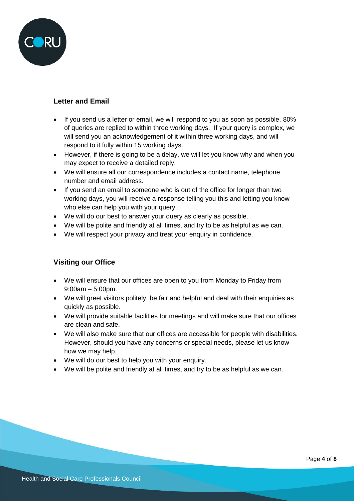

# **Letter and Email**

- If you send us a letter or email, we will respond to you as soon as possible, 80% of queries are replied to within three working days. If your query is complex, we will send you an acknowledgement of it within three working days, and will respond to it fully within 15 working days.
- However, if there is going to be a delay, we will let you know why and when you may expect to receive a detailed reply.
- We will ensure all our correspondence includes a contact name, telephone number and email address.
- If you send an email to someone who is out of the office for longer than two working days, you will receive a response telling you this and letting you know who else can help you with your query.
- We will do our best to answer your query as clearly as possible.
- We will be polite and friendly at all times, and try to be as helpful as we can.
- We will respect your privacy and treat your enquiry in confidence.

# **Visiting our Office**

- We will ensure that our offices are open to you from Monday to Friday from 9:00am – 5:00pm.
- We will greet visitors politely, be fair and helpful and deal with their enquiries as quickly as possible.
- We will provide suitable facilities for meetings and will make sure that our offices are clean and safe.
- We will also make sure that our offices are accessible for people with disabilities. However, should you have any concerns or special needs, please let us know how we may help.
- We will do our best to help you with your enquiry.
- We will be polite and friendly at all times, and try to be as helpful as we can.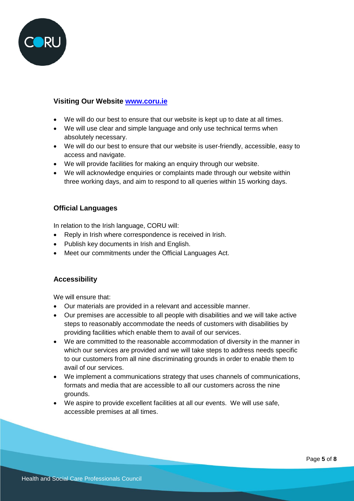

# **Visiting Our Website [www.coru.ie](http://www.coru.ie/)**

- We will do our best to ensure that our website is kept up to date at all times.
- We will use clear and simple language and only use technical terms when absolutely necessary.
- We will do our best to ensure that our website is user-friendly, accessible, easy to access and navigate.
- We will provide facilities for making an enquiry through our website.
- We will acknowledge enquiries or complaints made through our website within three working days, and aim to respond to all queries within 15 working days.

# **Official Languages**

In relation to the Irish language, CORU will:

- Reply in Irish where correspondence is received in Irish.
- Publish key documents in Irish and English.
- Meet our commitments under the Official Languages Act.

# **Accessibility**

We will ensure that:

- Our materials are provided in a relevant and accessible manner.
- Our premises are accessible to all people with disabilities and we will take active steps to reasonably accommodate the needs of customers with disabilities by providing facilities which enable them to avail of our services.
- We are committed to the reasonable accommodation of diversity in the manner in which our services are provided and we will take steps to address needs specific to our customers from all nine discriminating grounds in order to enable them to avail of our services.
- We implement a communications strategy that uses channels of communications, formats and media that are accessible to all our customers across the nine grounds.
- We aspire to provide excellent facilities at all our events. We will use safe, accessible premises at all times.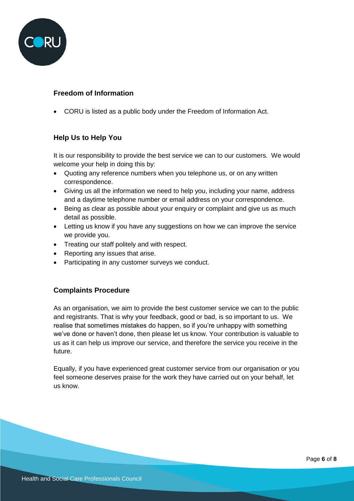

# **Freedom of Information**

CORU is listed as a public body under the Freedom of Information Act.

# **Help Us to Help You**

It is our responsibility to provide the best service we can to our customers. We would welcome your help in doing this by:

- Quoting any reference numbers when you telephone us, or on any written correspondence.
- Giving us all the information we need to help you, including your name, address and a daytime telephone number or email address on your correspondence.
- Being as clear as possible about your enquiry or complaint and give us as much detail as possible.
- Letting us know if you have any suggestions on how we can improve the service we provide you.
- Treating our staff politely and with respect.
- Reporting any issues that arise.
- Participating in any customer surveys we conduct.

# **Complaints Procedure**

As an organisation, we aim to provide the best customer service we can to the public and registrants. That is why your feedback, good or bad, is so important to us. We realise that sometimes mistakes do happen, so if you're unhappy with something we've done or haven't done, then please let us know. Your contribution is valuable to us as it can help us improve our service, and therefore the service you receive in the future.

Equally, if you have experienced great customer service from our organisation or you feel someone deserves praise for the work they have carried out on your behalf, let us know.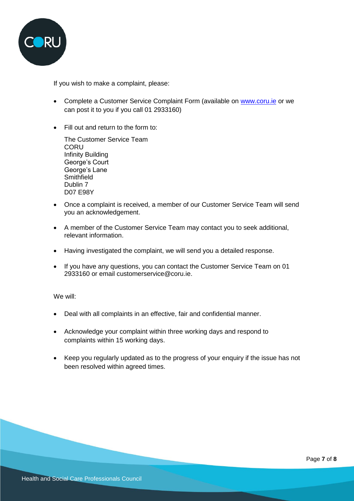

If you wish to make a complaint, please:

- Complete a Customer Service Complaint Form (available on [www.coru.ie](http://www.coru.ie/) or we can post it to you if you call 01 2933160)
- Fill out and return to the form to:

The Customer Service Team CORU Infinity Building George's Court George's Lane **Smithfield** Dublin 7 D07 E98Y

- Once a complaint is received, a member of our Customer Service Team will send you an acknowledgement.
- A member of the Customer Service Team may contact you to seek additional, relevant information.
- Having investigated the complaint, we will send you a detailed response.
- If you have any questions, you can contact the Customer Service Team on 01 2933160 or email customerservice@coru.ie.

We will:

- Deal with all complaints in an effective, fair and confidential manner.
- Acknowledge your complaint within three working days and respond to complaints within 15 working days.
- Keep you regularly updated as to the progress of your enquiry if the issue has not been resolved within agreed times.